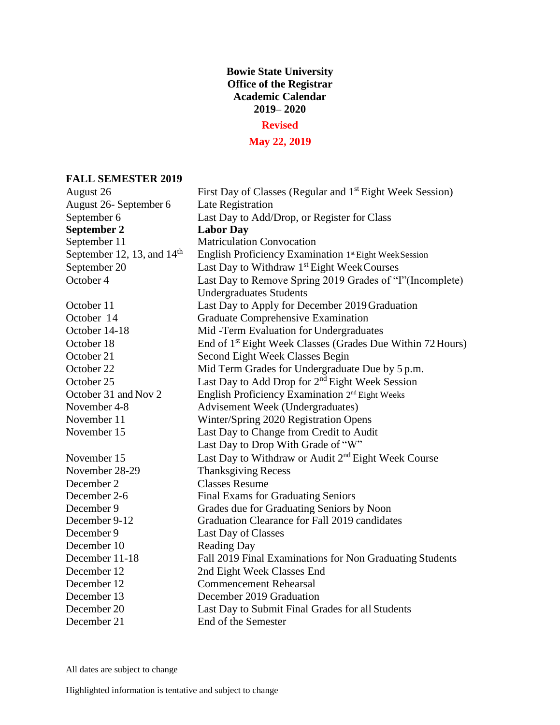# **Bowie State University Office of the Registrar Academic Calendar 2019– 2020**

### **Revised**

## **May 22, 2019**

### **FALL SEMESTER 2019**

| August 26                    | First Day of Classes (Regular and 1 <sup>st</sup> Eight Week Session)  |
|------------------------------|------------------------------------------------------------------------|
| August 26- September 6       | Late Registration                                                      |
| September 6                  | Last Day to Add/Drop, or Register for Class                            |
| September 2                  | <b>Labor Day</b>                                                       |
| September 11                 | <b>Matriculation Convocation</b>                                       |
| September 12, 13, and $14th$ | English Proficiency Examination 1st Eight Week Session                 |
| September 20                 | Last Day to Withdraw 1st Eight Week Courses                            |
| October 4                    | Last Day to Remove Spring 2019 Grades of "I" (Incomplete)              |
|                              | <b>Undergraduates Students</b>                                         |
| October 11                   | Last Day to Apply for December 2019 Graduation                         |
| October 14                   | <b>Graduate Comprehensive Examination</b>                              |
| October 14-18                | Mid-Term Evaluation for Undergraduates                                 |
| October 18                   | End of 1 <sup>st</sup> Eight Week Classes (Grades Due Within 72 Hours) |
| October 21                   | Second Eight Week Classes Begin                                        |
| October 22                   | Mid Term Grades for Undergraduate Due by 5 p.m.                        |
| October 25                   | Last Day to Add Drop for $2nd$ Eight Week Session                      |
| October 31 and Nov 2         | English Proficiency Examination 2 <sup>nd</sup> Eight Weeks            |
| November 4-8                 | Advisement Week (Undergraduates)                                       |
| November 11                  | Winter/Spring 2020 Registration Opens                                  |
| November 15                  | Last Day to Change from Credit to Audit                                |
|                              | Last Day to Drop With Grade of "W"                                     |
| November 15                  | Last Day to Withdraw or Audit 2 <sup>nd</sup> Eight Week Course        |
| November 28-29               | <b>Thanksgiving Recess</b>                                             |
| December 2                   | <b>Classes Resume</b>                                                  |
| December 2-6                 | <b>Final Exams for Graduating Seniors</b>                              |
| December 9                   | Grades due for Graduating Seniors by Noon                              |
| December 9-12                | Graduation Clearance for Fall 2019 candidates                          |
| December 9                   | Last Day of Classes                                                    |
| December 10                  | <b>Reading Day</b>                                                     |
| December 11-18               | Fall 2019 Final Examinations for Non Graduating Students               |
| December 12                  | 2nd Eight Week Classes End                                             |
| December 12                  | <b>Commencement Rehearsal</b>                                          |
| December 13                  | December 2019 Graduation                                               |
| December 20                  | Last Day to Submit Final Grades for all Students                       |
| December 21                  | End of the Semester                                                    |

All dates are subject to change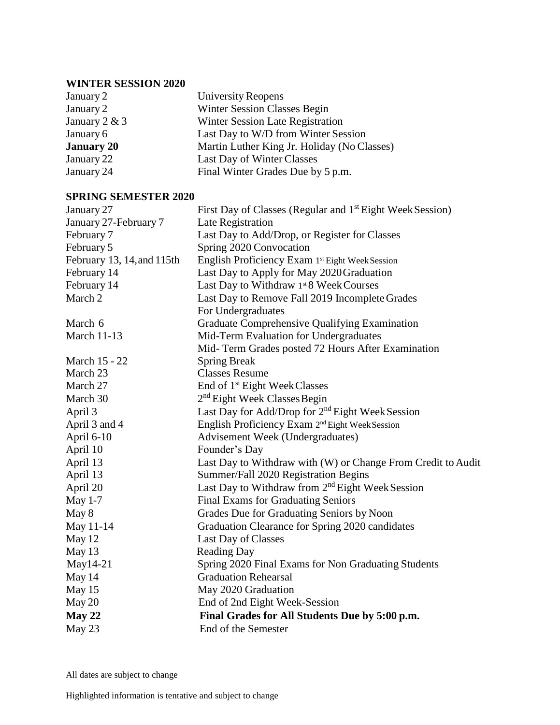# **WINTER SESSION 2020**

| January 2         | <b>University Reopens</b>                   |
|-------------------|---------------------------------------------|
| January 2         | Winter Session Classes Begin                |
| January 2 & 3     | Winter Session Late Registration            |
| January 6         | Last Day to W/D from Winter Session         |
| <b>January 20</b> | Martin Luther King Jr. Holiday (No Classes) |
| January 22        | Last Day of Winter Classes                  |
| January 24        | Final Winter Grades Due by 5 p.m.           |

#### **SPRING SEMESTER 2020**

| January 27                 | First Day of Classes (Regular and 1 <sup>st</sup> Eight Week Session) |
|----------------------------|-----------------------------------------------------------------------|
| January 27-February 7      | Late Registration                                                     |
| February 7                 | Last Day to Add/Drop, or Register for Classes                         |
| February 5                 | Spring 2020 Convocation                                               |
| February 13, 14, and 115th | English Proficiency Exam 1st Eight Week Session                       |
| February 14                | Last Day to Apply for May 2020 Graduation                             |
| February 14                | Last Day to Withdraw 1st 8 Week Courses                               |
| March 2                    | Last Day to Remove Fall 2019 Incomplete Grades                        |
|                            | For Undergraduates                                                    |
| March 6                    | Graduate Comprehensive Qualifying Examination                         |
| <b>March 11-13</b>         | Mid-Term Evaluation for Undergraduates                                |
|                            | Mid- Term Grades posted 72 Hours After Examination                    |
| March 15 - 22              | <b>Spring Break</b>                                                   |
| March 23                   | <b>Classes Resume</b>                                                 |
| March 27                   | End of 1 <sup>st</sup> Eight Week Classes                             |
| March 30                   | $2nd$ Eight Week Classes Begin                                        |
| April 3                    | Last Day for Add/Drop for 2 <sup>nd</sup> Eight Week Session          |
| April 3 and 4              | English Proficiency Exam 2 <sup>nd</sup> Eight Week Session           |
| April 6-10                 | <b>Advisement Week (Undergraduates)</b>                               |
| April 10                   | Founder's Day                                                         |
| April 13                   | Last Day to Withdraw with (W) or Change From Credit to Audit          |
| April 13                   | Summer/Fall 2020 Registration Begins                                  |
| April 20                   | Last Day to Withdraw from 2 <sup>nd</sup> Eight Week Session          |
| <b>May 1-7</b>             | <b>Final Exams for Graduating Seniors</b>                             |
| May 8                      | Grades Due for Graduating Seniors by Noon                             |
| May 11-14                  | Graduation Clearance for Spring 2020 candidates                       |
| May 12                     | Last Day of Classes                                                   |
| May 13                     | <b>Reading Day</b>                                                    |
| $May14-21$                 | Spring 2020 Final Exams for Non Graduating Students                   |
| May 14                     | <b>Graduation Rehearsal</b>                                           |
| May 15                     | May 2020 Graduation                                                   |
| May 20                     | End of 2nd Eight Week-Session                                         |
| May 22                     | Final Grades for All Students Due by 5:00 p.m.                        |
| May 23                     | End of the Semester                                                   |

All dates are subject to change